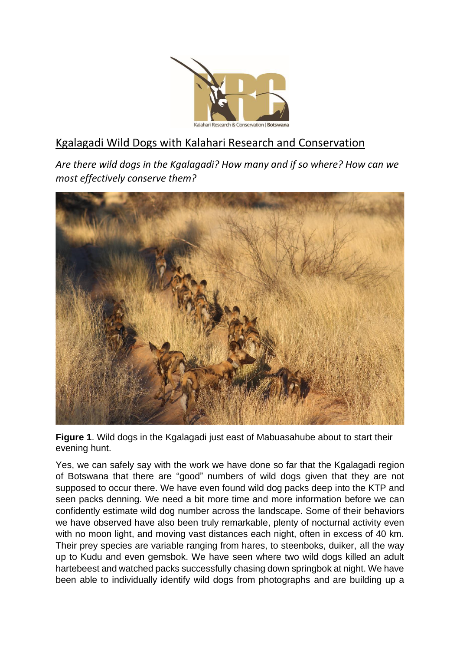

## Kgalagadi Wild Dogs with Kalahari Research and Conservation

*Are there wild dogs in the Kgalagadi? How many and if so where? How can we most effectively conserve them?*



**Figure 1**. Wild dogs in the Kgalagadi just east of Mabuasahube about to start their evening hunt.

Yes, we can safely say with the work we have done so far that the Kgalagadi region of Botswana that there are "good" numbers of wild dogs given that they are not supposed to occur there. We have even found wild dog packs deep into the KTP and seen packs denning. We need a bit more time and more information before we can confidently estimate wild dog number across the landscape. Some of their behaviors we have observed have also been truly remarkable, plenty of nocturnal activity even with no moon light, and moving vast distances each night, often in excess of 40 km. Their prey species are variable ranging from hares, to steenboks, duiker, all the way up to Kudu and even gemsbok. We have seen where two wild dogs killed an adult hartebeest and watched packs successfully chasing down springbok at night. We have been able to individually identify wild dogs from photographs and are building up a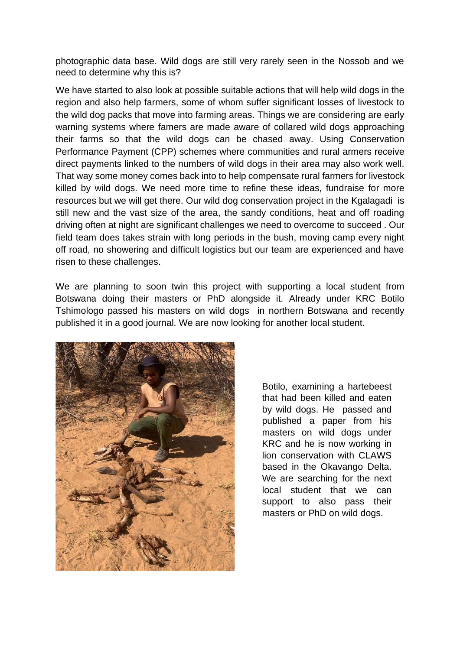photographic data base. Wild dogs are still very rarely seen in the Nossob and we need to determine why this is?

We have started to also look at possible suitable actions that will help wild dogs in the region and also help farmers, some of whom suffer significant losses of livestock to the wild dog packs that move into farming areas. Things we are considering are early warning systems where famers are made aware of collared wild dogs approaching their farms so that the wild dogs can be chased away. Using Conservation Performance Payment (CPP) schemes where communities and rural armers receive direct payments linked to the numbers of wild dogs in their area may also work well. That way some money comes back into to help compensate rural farmers for livestock killed by wild dogs. We need more time to refine these ideas, fundraise for more resources but we will get there. Our wild dog conservation project in the Kgalagadi is still new and the vast size of the area, the sandy conditions, heat and off roading driving often at night are significant challenges we need to overcome to succeed . Our field team does takes strain with long periods in the bush, moving camp every night off road, no showering and difficult logistics but our team are experienced and have risen to these challenges.

We are planning to soon twin this project with supporting a local student from Botswana doing their masters or PhD alongside it. Already under KRC Botilo Tshimologo passed his masters on wild dogs in northern Botswana and recently published it in a good journal. We are now looking for another local student.



Botilo, examining a hartebeest that had been killed and eaten by wild dogs. He passed and published a paper from his masters on wild dogs under KRC and he is now working in lion conservation with CLAWS based in the Okavango Delta. We are searching for the next local student that we can support to also pass their masters or PhD on wild dogs.